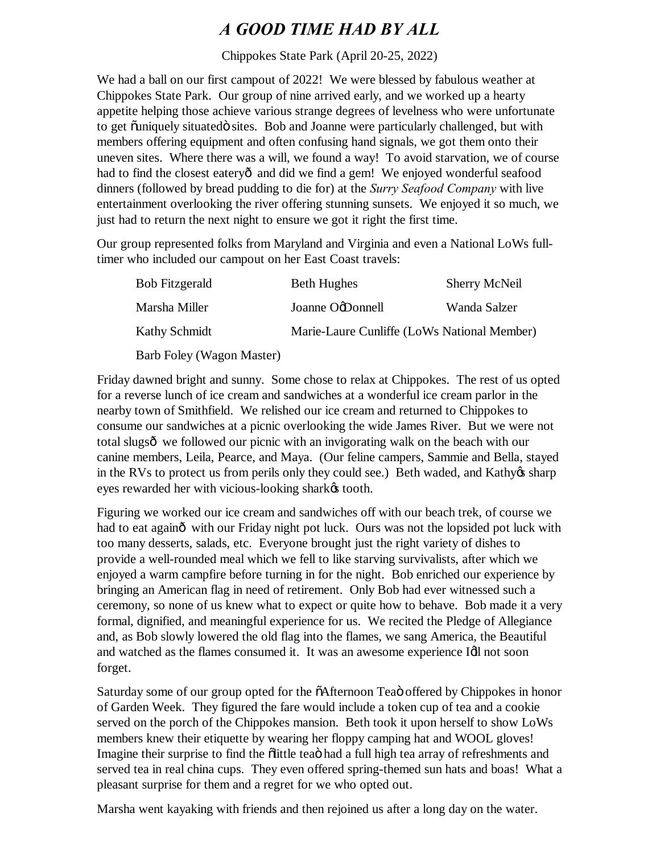## *A GOOD TIME HAD BY ALL*

Chippokes State Park (April 20-25, 2022)

We had a ball on our first campout of 2022! We were blessed by fabulous weather at Chippokes State Park. Our group of nine arrived early, and we worked up a hearty appetite helping those achieve various strange degrees of levelness who were unfortunate to get õuniquely situatedö sites. Bob and Joanne were particularly challenged, but with members offering equipment and often confusing hand signals, we got them onto their uneven sites. Where there was a will, we found a way! To avoid starvation, we of course had to find the closest eateryô and did we find a gem! We enjoyed wonderful seafood dinners (followed by bread pudding to die for) at the *Surry Seafood Company* with live entertainment overlooking the river offering stunning sunsets. We enjoyed it so much, we just had to return the next night to ensure we got it right the first time.

Our group represented folks from Maryland and Virginia and even a National LoWs fulltimer who included our campout on her East Coast travels:

| <b>Bob Fitzgerald</b>     | <b>Beth Hughes</b>                          | <b>Sherry McNeil</b> |
|---------------------------|---------------------------------------------|----------------------|
| Marsha Miller             | Joanne OgDonnell                            | Wanda Salzer         |
| Kathy Schmidt             | Marie-Laure Cunliffe (LoWs National Member) |                      |
| Barb Foley (Wagon Master) |                                             |                      |

Friday dawned bright and sunny. Some chose to relax at Chippokes. The rest of us opted for a reverse lunch of ice cream and sandwiches at a wonderful ice cream parlor in the nearby town of Smithfield. We relished our ice cream and returned to Chippokes to consume our sandwiches at a picnic overlooking the wide James River. But we were not total slugsô we followed our picnic with an invigorating walk on the beach with our canine members, Leila, Pearce, and Maya. (Our feline campers, Sammie and Bella, stayed in the RVs to protect us from perils only they could see.) Beth waded, and Kathyos sharp eyes rewarded her with vicious-looking shark $\alpha$  tooth.

Figuring we worked our ice cream and sandwiches off with our beach trek, of course we had to eat againô with our Friday night pot luck. Ours was not the lopsided pot luck with too many desserts, salads, etc. Everyone brought just the right variety of dishes to provide a well-rounded meal which we fell to like starving survivalists, after which we enjoyed a warm campfire before turning in for the night. Bob enriched our experience by bringing an American flag in need of retirement. Only Bob had ever witnessed such a ceremony, so none of us knew what to expect or quite how to behave. Bob made it a very formal, dignified, and meaningful experience for us. We recited the Pledge of Allegiance and, as Bob slowly lowered the old flag into the flames, we sang America, the Beautiful and watched as the flames consumed it. It was an awesome experience Idl not soon forget.

Saturday some of our group opted for the  $\tilde{o}$ Afternoon Tea $\tilde{o}$  offered by Chippokes in honor of Garden Week. They figured the fare would include a token cup of tea and a cookie served on the porch of the Chippokes mansion. Beth took it upon herself to show LoWs members knew their etiquette by wearing her floppy camping hat and WOOL gloves! Imagine their surprise to find the olittle tea had a full high tea array of refreshments and served tea in real china cups. They even offered spring-themed sun hats and boas! What a pleasant surprise for them and a regret for we who opted out.

Marsha went kayaking with friends and then rejoined us after a long day on the water.